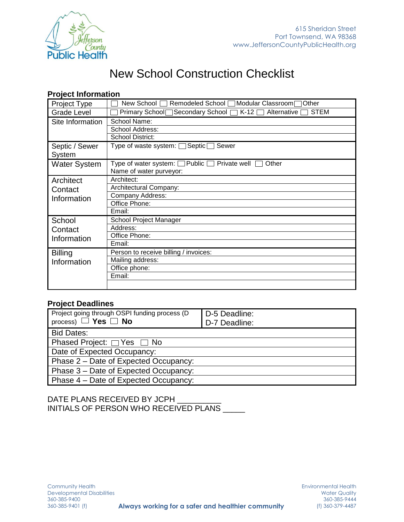

# New School Construction Checklist

### **Project Information**

| <b>Project Type</b>                 | New School<br>Remodeled School Modular Classroom<br>Other                            |
|-------------------------------------|--------------------------------------------------------------------------------------|
| <b>Grade Level</b>                  | Primary School Secondary School   K-12<br><b>STEM</b><br>Alternative [               |
| Site Information                    | School Name:<br>School Address:<br><b>School District:</b>                           |
| Septic / Sewer<br>System            | Type of waste system: $\Box$ Septic $\Box$<br>Sewer                                  |
| <b>Water System</b>                 | Type of water system: □ Public □ Private well<br>Other<br>Name of water purveyor:    |
| Architect<br>Contact<br>Information | Architect:<br>Architectural Company:<br>Company Address:<br>Office Phone:<br>Email:  |
| School<br>Contact<br>Information    | School Project Manager<br>Address:<br>Office Phone:<br>Email:                        |
| <b>Billing</b><br>Information       | Person to receive billing / invoices:<br>Mailing address:<br>Office phone:<br>Email: |

### **Project Deadlines**

| Project going through OSPI funding process (D<br>process) $\Box$ Yes $\Box$ No | D-5 Deadline:<br>D-7 Deadline: |  |
|--------------------------------------------------------------------------------|--------------------------------|--|
| <b>Bid Dates:</b>                                                              |                                |  |
| Phased Project: $\Box$ Yes $\Box$ No                                           |                                |  |
| Date of Expected Occupancy:                                                    |                                |  |
| Phase 2 – Date of Expected Occupancy:                                          |                                |  |
| Phase 3 – Date of Expected Occupancy:                                          |                                |  |
| Phase 4 - Date of Expected Occupancy:                                          |                                |  |

DATE PLANS RECEIVED BY JCPH INITIALS OF PERSON WHO RECEIVED PLANS \_\_\_\_\_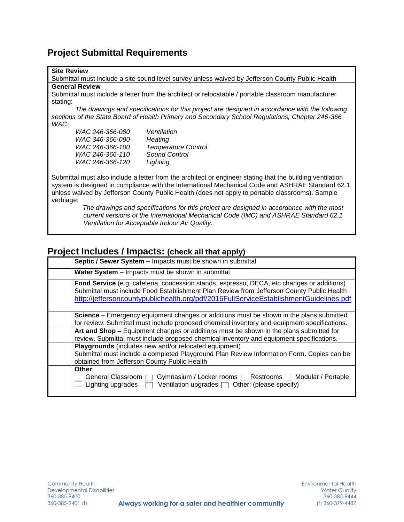## **Project Submittal Requirements**

#### **Site Review**

Submittal must include a site sound level survey unless waived by Jefferson County Public Health **General Review**

Submittal must include a letter from the architect or relocatable / portable classroom manufacturer stating:

*The drawings and specifications for this project are designed in accordance with the following sections of the State Board of Health Primary and Secondary School Regulations, Chapter 246-366 WAC:*

| WAC 246-366-080 | Ventilation                |
|-----------------|----------------------------|
| WAC 346-366-090 | Heating                    |
| WAC 246-366-100 | <b>Temperature Control</b> |
| WAC 246-366-110 | Sound Control              |
| WAC 246-366-120 | Lighting                   |

Submittal must also include a letter from the architect or engineer stating that the building ventilation system is designed in compliance with the International Mechanical Code and ASHRAE Standard 62.1 unless waived by Jefferson County Public Health (does not apply to portable classrooms). Sample verbiage:

> *The drawings and specifications for this project are designed in accordance with the most current versions of the International Mechanical Code (IMC) and ASHRAE Standard 62.1 Ventilation for Acceptable Indoor Air Quality.*

### **Project Includes / Impacts: (check all that apply)**

| Septic / Sewer System - Impacts must be shown in submittal                                                                                                                                                                                                                       |
|----------------------------------------------------------------------------------------------------------------------------------------------------------------------------------------------------------------------------------------------------------------------------------|
| Water System - Impacts must be shown in submittal                                                                                                                                                                                                                                |
| Food Service (e.g. cafeteria, concession stands, espresso, DECA, etc changes or additions)<br>Submittal must include Food Establishment Plan Review from Jefferson County Public Health<br>http://jeffersoncountypublichealth.org/pdf/2016FullServiceEstablishmentGuidelines.pdf |
| <b>Science</b> – Emergency equipment changes or additions must be shown in the plans submitted<br>for review. Submittal must include proposed chemical inventory and equipment specifications.                                                                                   |
| Art and Shop - Equipment changes or additions must be shown in the plans submitted for<br>review. Submittal must include proposed chemical inventory and equipment specifications.                                                                                               |
| Playgrounds (includes new and/or relocated equipment).<br>Submittal must include a completed Playground Plan Review Information Form. Copies can be<br>obtained from Jefferson County Public Health                                                                              |
| <b>Other</b><br>General Classroom<br>Gymnasium / Locker rooms   Restrooms   Modular / Portable<br>Ventilation upgrades $\Box$ Other: (please specify)<br>Lighting upgrades $\Box$                                                                                                |